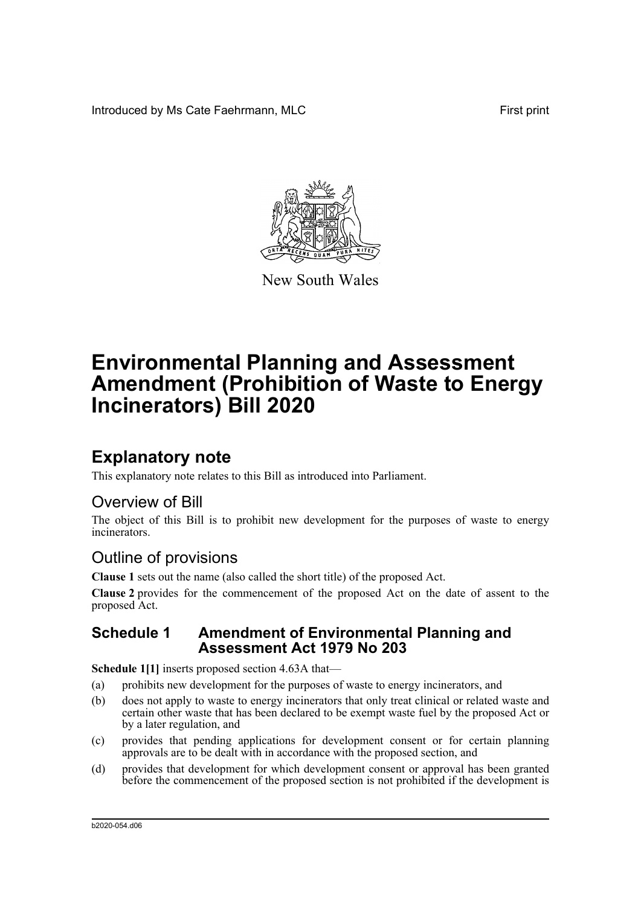Introduced by Ms Cate Faehrmann, MLC **First print** First print



New South Wales

# **Environmental Planning and Assessment Amendment (Prohibition of Waste to Energy Incinerators) Bill 2020**

## **Explanatory note**

This explanatory note relates to this Bill as introduced into Parliament.

### Overview of Bill

The object of this Bill is to prohibit new development for the purposes of waste to energy incinerators.

### Outline of provisions

**Clause 1** sets out the name (also called the short title) of the proposed Act.

**Clause 2** provides for the commencement of the proposed Act on the date of assent to the proposed Act.

### **Schedule 1 Amendment of Environmental Planning and Assessment Act 1979 No 203**

**Schedule 1[1]** inserts proposed section 4.63A that—

- (a) prohibits new development for the purposes of waste to energy incinerators, and
- (b) does not apply to waste to energy incinerators that only treat clinical or related waste and certain other waste that has been declared to be exempt waste fuel by the proposed Act or by a later regulation, and
- (c) provides that pending applications for development consent or for certain planning approvals are to be dealt with in accordance with the proposed section, and
- (d) provides that development for which development consent or approval has been granted before the commencement of the proposed section is not prohibited if the development is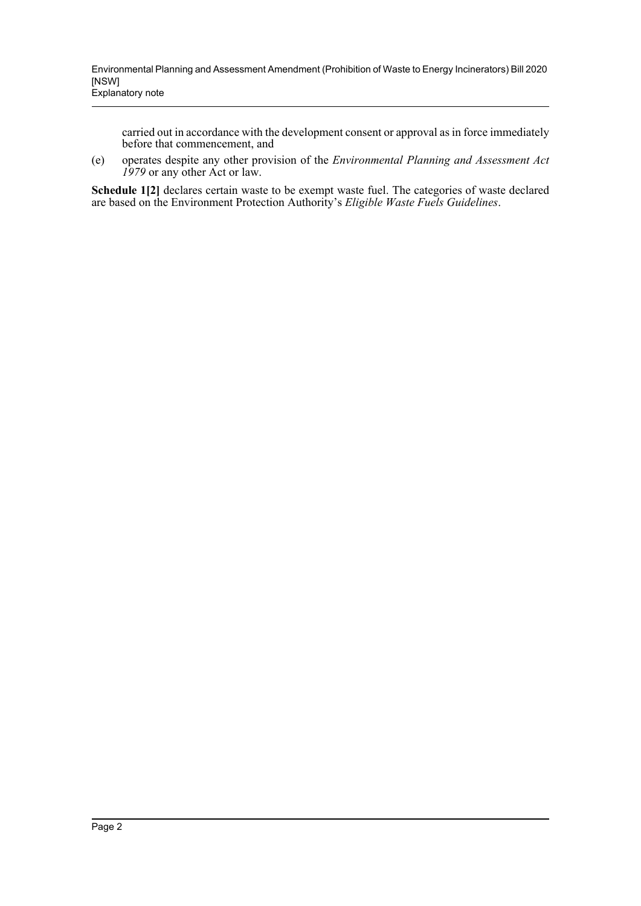carried out in accordance with the development consent or approval as in force immediately before that commencement, and

(e) operates despite any other provision of the *Environmental Planning and Assessment Act 1979* or any other Act or law.

**Schedule 1[2]** declares certain waste to be exempt waste fuel. The categories of waste declared are based on the Environment Protection Authority's *Eligible Waste Fuels Guidelines*.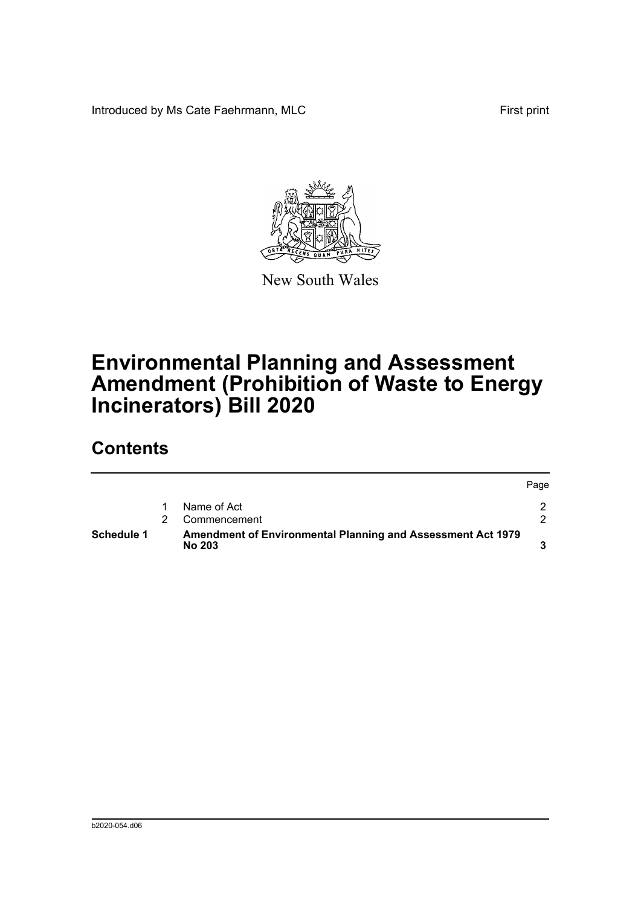Introduced by Ms Cate Faehrmann, MLC First print



New South Wales

# **Environmental Planning and Assessment Amendment (Prohibition of Waste to Energy Incinerators) Bill 2020**

## **Contents**

| Schedule 1 | Amendment of Environmental Planning and Assessment Act 1979<br><b>No 203</b> |              |      |
|------------|------------------------------------------------------------------------------|--------------|------|
|            |                                                                              | Commencement |      |
|            |                                                                              | Name of Act  |      |
|            |                                                                              |              | Page |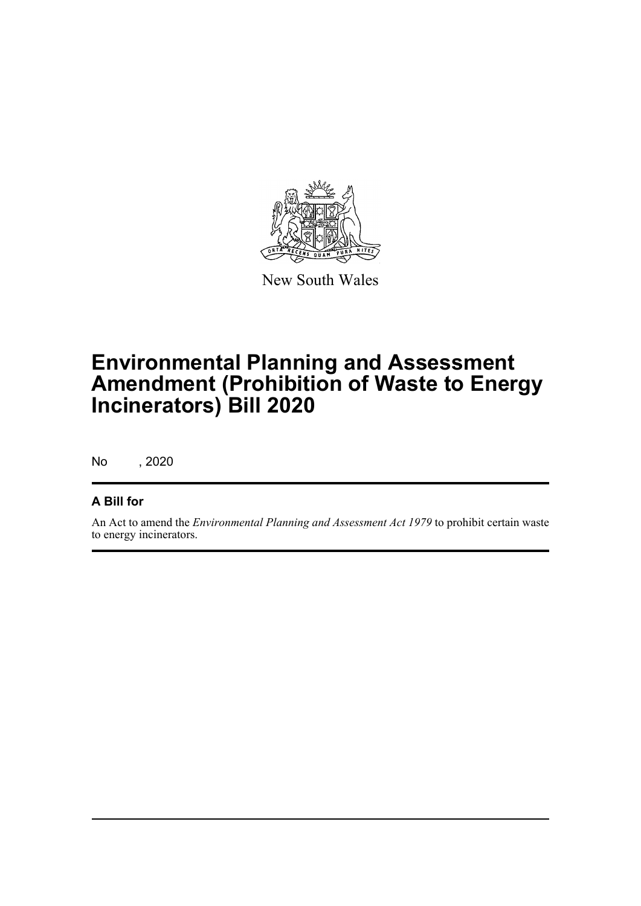

New South Wales

# **Environmental Planning and Assessment Amendment (Prohibition of Waste to Energy Incinerators) Bill 2020**

No , 2020

### **A Bill for**

An Act to amend the *Environmental Planning and Assessment Act 1979* to prohibit certain waste to energy incinerators.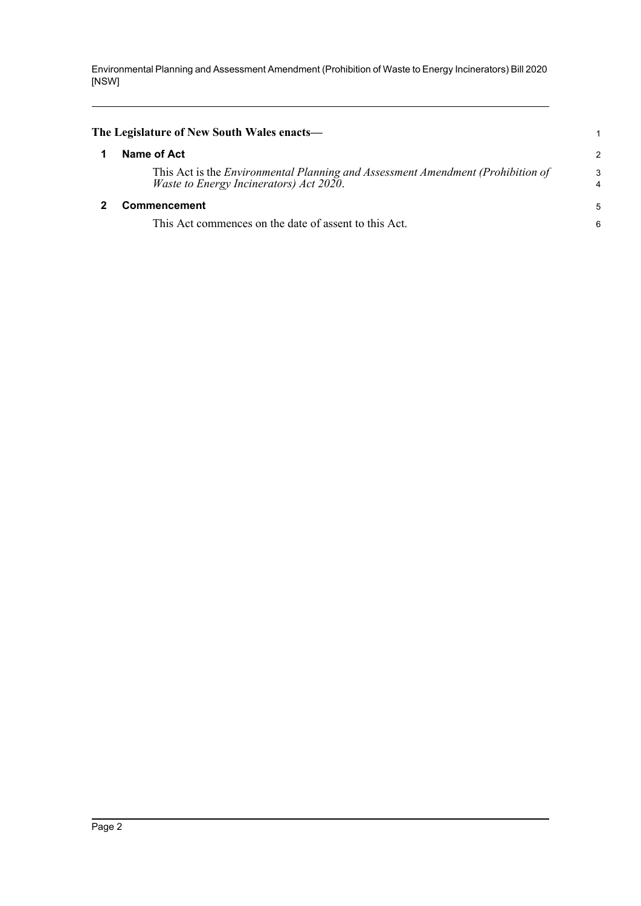<span id="page-4-1"></span><span id="page-4-0"></span>

| The Legislature of New South Wales enacts—                                                                                        | 1             |
|-----------------------------------------------------------------------------------------------------------------------------------|---------------|
| Name of Act                                                                                                                       | $\mathcal{P}$ |
| This Act is the <i>Environmental Planning and Assessment Amendment (Prohibition of</i><br>Waste to Energy Incinerators) Act 2020. | 3             |
| <b>Commencement</b>                                                                                                               | 5             |
| This Act commences on the date of assent to this Act.                                                                             | 6             |
|                                                                                                                                   |               |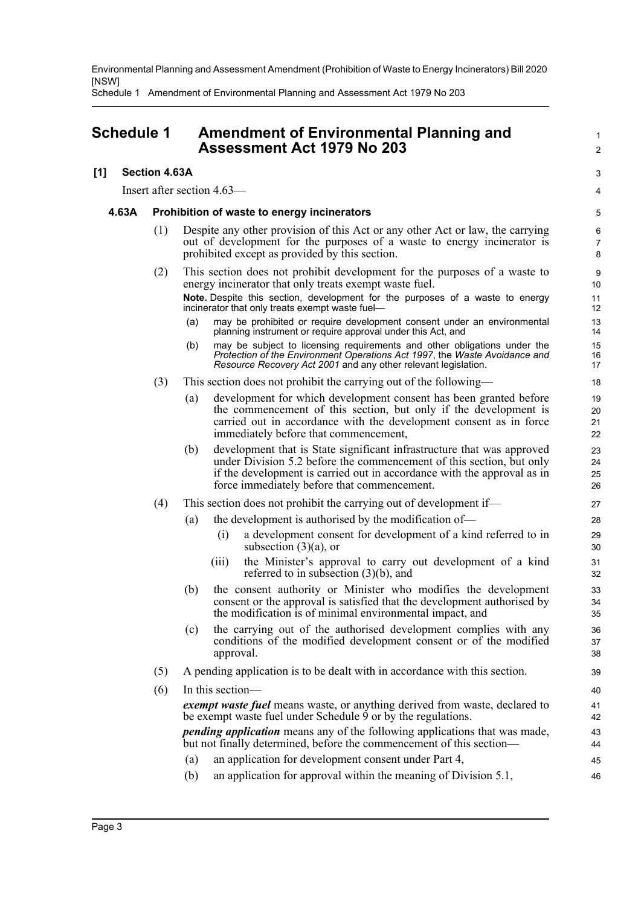Schedule 1 Amendment of Environmental Planning and Assessment Act 1979 No 203

### <span id="page-5-0"></span>**Schedule 1 Amendment of Environmental Planning and Assessment Act 1979 No 203**

#### **[1] Section 4.63A**

Insert after section 4.63—

#### **4.63A Prohibition of waste to energy incinerators**

(1) Despite any other provision of this Act or any other Act or law, the carrying out of development for the purposes of a waste to energy incinerator is prohibited except as provided by this section.

1  $\mathcal{L}$ 

3 4

- (2) This section does not prohibit development for the purposes of a waste to energy incinerator that only treats exempt waste fuel. **Note.** Despite this section, development for the purposes of a waste to energy incinerator that only treats exempt waste fuel—
	- (a) may be prohibited or require development consent under an environmental planning instrument or require approval under this Act, and
	- (b) may be subject to licensing requirements and other obligations under the *Protection of the Environment Operations Act 1997*, the *Waste Avoidance and Resource Recovery Act 2001* and any other relevant legislation.
- (3) This section does not prohibit the carrying out of the following—
	- (a) development for which development consent has been granted before the commencement of this section, but only if the development is carried out in accordance with the development consent as in force immediately before that commencement,
	- (b) development that is State significant infrastructure that was approved under Division 5.2 before the commencement of this section, but only if the development is carried out in accordance with the approval as in force immediately before that commencement.

#### (4) This section does not prohibit the carrying out of development if—

- (a) the development is authorised by the modification of—
	- (i) a development consent for development of a kind referred to in subsection  $(3)(a)$ , or
	- (iii) the Minister's approval to carry out development of a kind referred to in subsection (3)(b), and
- (b) the consent authority or Minister who modifies the development consent or the approval is satisfied that the development authorised by the modification is of minimal environmental impact, and
- (c) the carrying out of the authorised development complies with any conditions of the modified development consent or of the modified approval.
- (5) A pending application is to be dealt with in accordance with this section.
- (6) In this section *exempt waste fuel* means waste, or anything derived from waste, declared to be exempt waste fuel under Schedule 9 or by the regulations. *pending application* means any of the following applications that was made, but not finally determined, before the commencement of this section— (a) an application for development consent under Part 4, 40 41 42 43 44 45 46
	- (b) an application for approval within the meaning of Division 5.1,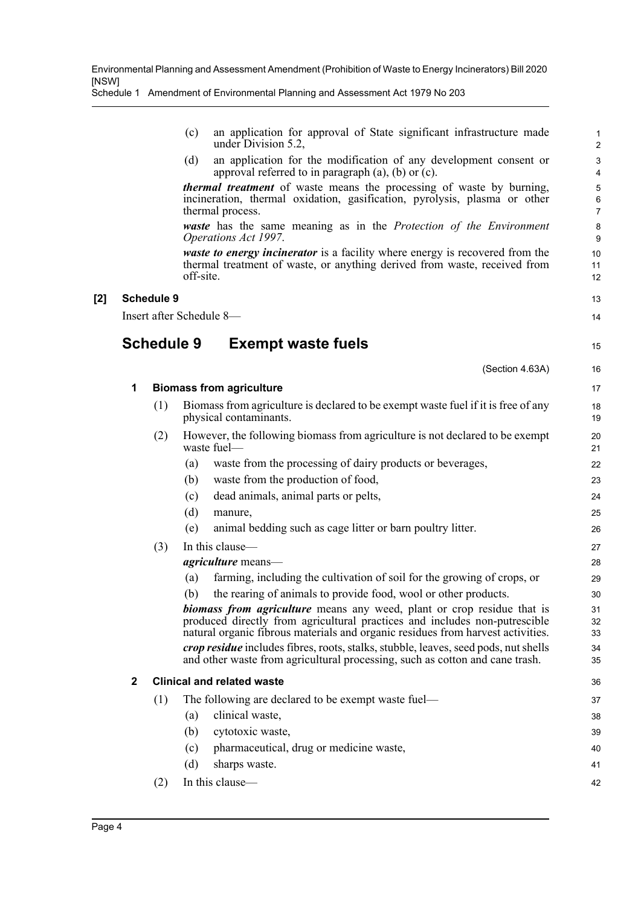Schedule 1 Amendment of Environmental Planning and Assessment Act 1979 No 203

- (c) an application for approval of State significant infrastructure made under Division 5.2,
- (d) an application for the modification of any development consent or approval referred to in paragraph  $(a)$ ,  $(b)$  or  $(c)$ .

*thermal treatment* of waste means the processing of waste by burning, incineration, thermal oxidation, gasification, pyrolysis, plasma or other thermal process.

*waste* has the same meaning as in the *Protection of the Environment Operations Act 1997*.

*waste to energy incinerator* is a facility where energy is recovered from the thermal treatment of waste, or anything derived from waste, received from off-site.

#### **[2] Schedule 9**

Insert after Schedule 8—

### **Schedule 9 Exempt waste fuels**

| ۰, | e v<br>I<br>v.<br>۰. |
|----|----------------------|

|              |     | (Section 4.63A)                                                                                                                                                                                                                         | 16             |
|--------------|-----|-----------------------------------------------------------------------------------------------------------------------------------------------------------------------------------------------------------------------------------------|----------------|
| 1            |     | <b>Biomass from agriculture</b>                                                                                                                                                                                                         | 17             |
|              | (1) | Biomass from agriculture is declared to be exempt waste fuel if it is free of any<br>physical contaminants.                                                                                                                             | 18<br>19       |
|              | (2) | However, the following biomass from agriculture is not declared to be exempt<br>waste fuel—                                                                                                                                             | 20<br>21       |
|              |     | waste from the processing of dairy products or beverages,<br>(a)                                                                                                                                                                        | 22             |
|              |     | (b)<br>waste from the production of food,                                                                                                                                                                                               | 23             |
|              |     | dead animals, animal parts or pelts,<br>(c)                                                                                                                                                                                             | 24             |
|              |     | (d)<br>manure,                                                                                                                                                                                                                          | 25             |
|              |     | animal bedding such as cage litter or barn poultry litter.<br>(e)                                                                                                                                                                       | 26             |
|              | (3) | In this clause-                                                                                                                                                                                                                         | 27             |
|              |     | <i>agriculture</i> means—                                                                                                                                                                                                               | 28             |
|              |     | farming, including the cultivation of soil for the growing of crops, or<br>(a)                                                                                                                                                          | 29             |
|              |     | the rearing of animals to provide food, wool or other products.<br>(b)                                                                                                                                                                  | 30             |
|              |     | biomass from agriculture means any weed, plant or crop residue that is<br>produced directly from agricultural practices and includes non-putrescible<br>natural organic fibrous materials and organic residues from harvest activities. | 31<br>32<br>33 |
|              |     | crop residue includes fibres, roots, stalks, stubble, leaves, seed pods, nut shells<br>and other waste from agricultural processing, such as cotton and cane trash.                                                                     | 34<br>35       |
| $\mathbf{2}$ |     | <b>Clinical and related waste</b>                                                                                                                                                                                                       | 36             |
|              | (1) | The following are declared to be exempt waste fuel-                                                                                                                                                                                     | 37             |
|              |     | clinical waste,<br>(a)                                                                                                                                                                                                                  | 38             |
|              |     | (b)<br>cytotoxic waste,                                                                                                                                                                                                                 | 39             |
|              |     | pharmaceutical, drug or medicine waste,<br>(c)                                                                                                                                                                                          | 40             |
|              |     | (d)<br>sharps waste.                                                                                                                                                                                                                    | 41             |
|              | (2) | In this clause—                                                                                                                                                                                                                         | 42             |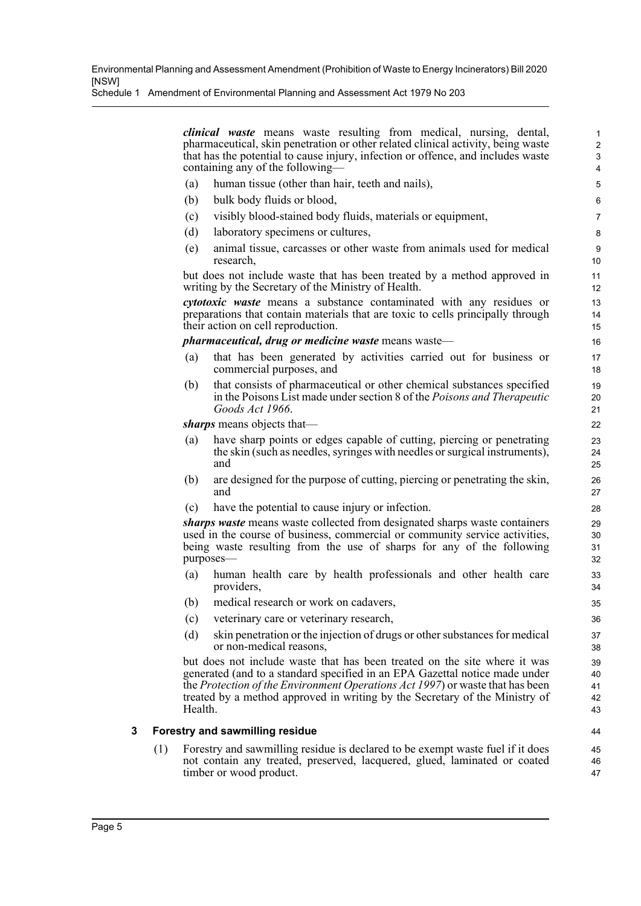Schedule 1 Amendment of Environmental Planning and Assessment Act 1979 No 203

*clinical waste* means waste resulting from medical, nursing, dental, pharmaceutical, skin penetration or other related clinical activity, being waste that has the potential to cause injury, infection or offence, and includes waste containing any of the following—

- (a) human tissue (other than hair, teeth and nails),
- (b) bulk body fluids or blood,
- (c) visibly blood-stained body fluids, materials or equipment,
- (d) laboratory specimens or cultures,
- (e) animal tissue, carcasses or other waste from animals used for medical research,

but does not include waste that has been treated by a method approved in writing by the Secretary of the Ministry of Health.

*cytotoxic waste* means a substance contaminated with any residues or preparations that contain materials that are toxic to cells principally through their action on cell reproduction.

*pharmaceutical, drug or medicine waste* means waste—

- (a) that has been generated by activities carried out for business or commercial purposes, and
- (b) that consists of pharmaceutical or other chemical substances specified in the Poisons List made under section 8 of the *Poisons and Therapeutic Goods Act 1966*.

*sharps* means objects that—

- (a) have sharp points or edges capable of cutting, piercing or penetrating the skin (such as needles, syringes with needles or surgical instruments), and
- (b) are designed for the purpose of cutting, piercing or penetrating the skin, and
- (c) have the potential to cause injury or infection.

*sharps waste* means waste collected from designated sharps waste containers used in the course of business, commercial or community service activities, being waste resulting from the use of sharps for any of the following purposes—

- (a) human health care by health professionals and other health care providers,
- (b) medical research or work on cadavers,
- (c) veterinary care or veterinary research,
- (d) skin penetration or the injection of drugs or other substances for medical or non-medical reasons,

but does not include waste that has been treated on the site where it was generated (and to a standard specified in an EPA Gazettal notice made under the *Protection of the Environment Operations Act 1997*) or waste that has been treated by a method approved in writing by the Secretary of the Ministry of Health.

#### **3 Forestry and sawmilling residue**

(1) Forestry and sawmilling residue is declared to be exempt waste fuel if it does not contain any treated, preserved, lacquered, glued, laminated or coated timber or wood product.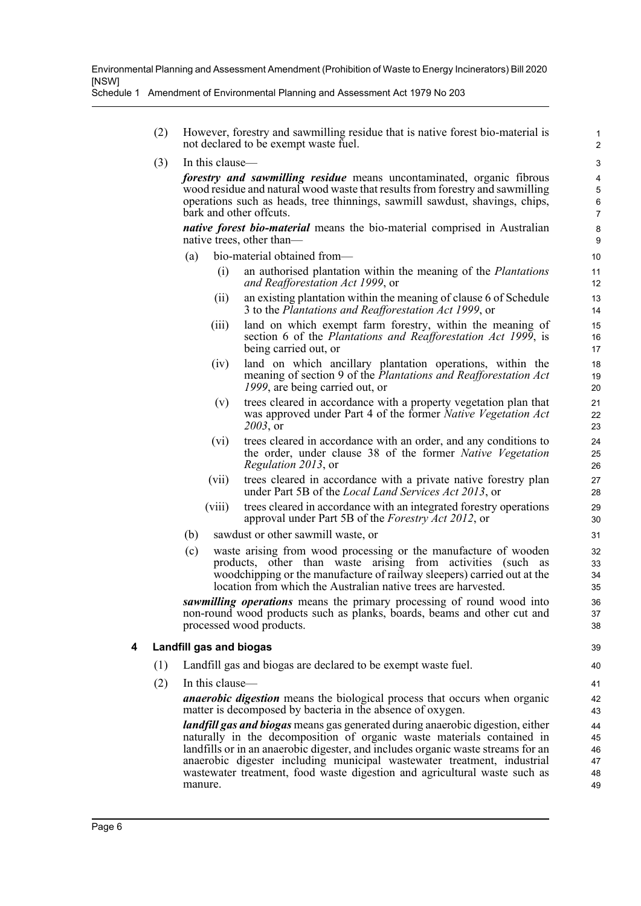Schedule 1 Amendment of Environmental Planning and Assessment Act 1979 No 203

- (2) However, forestry and sawmilling residue that is native forest bio-material is not declared to be exempt waste fuel.
- (3) In this clause—

*forestry and sawmilling residue* means uncontaminated, organic fibrous wood residue and natural wood waste that results from forestry and sawmilling operations such as heads, tree thinnings, sawmill sawdust, shavings, chips, bark and other offcuts.

*native forest bio-material* means the bio-material comprised in Australian native trees, other than—

- bio-material obtained from—
	- (i) an authorised plantation within the meaning of the *Plantations and Reafforestation Act 1999*, or
	- (ii) an existing plantation within the meaning of clause 6 of Schedule 3 to the *Plantations and Reafforestation Act 1999*, or
	- (iii) land on which exempt farm forestry, within the meaning of section 6 of the *Plantations and Reafforestation Act 1999*, is being carried out, or
	- (iv) land on which ancillary plantation operations, within the meaning of section 9 of the *Plantations and Reafforestation Act 1999*, are being carried out, or
	- (v) trees cleared in accordance with a property vegetation plan that was approved under Part 4 of the former *Native Vegetation Act 2003*, or
	- (vi) trees cleared in accordance with an order, and any conditions to the order, under clause 38 of the former *Native Vegetation Regulation 2013*, or
	- (vii) trees cleared in accordance with a private native forestry plan under Part 5B of the *Local Land Services Act 2013*, or
	- (viii) trees cleared in accordance with an integrated forestry operations approval under Part 5B of the *Forestry Act 2012*, or
- (b) sawdust or other sawmill waste, or
- (c) waste arising from wood processing or the manufacture of wooden products, other than waste arising from activities (such as woodchipping or the manufacture of railway sleepers) carried out at the location from which the Australian native trees are harvested.

*sawmilling operations* means the primary processing of round wood into non-round wood products such as planks, boards, beams and other cut and processed wood products.

#### **4 Landfill gas and biogas**

- (1) Landfill gas and biogas are declared to be exempt waste fuel.
- (2) In this clause—

*anaerobic digestion* means the biological process that occurs when organic matter is decomposed by bacteria in the absence of oxygen.

*landfill gas and biogas* means gas generated during anaerobic digestion, either naturally in the decomposition of organic waste materials contained in landfills or in an anaerobic digester, and includes organic waste streams for an anaerobic digester including municipal wastewater treatment, industrial wastewater treatment, food waste digestion and agricultural waste such as manure.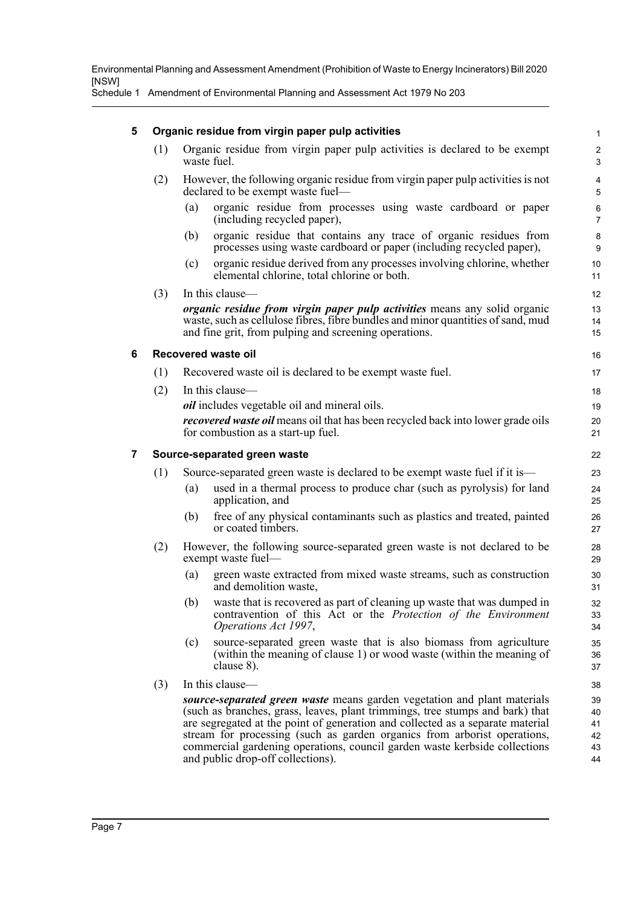Schedule 1 Amendment of Environmental Planning and Assessment Act 1979 No 203

#### **5 Organic residue from virgin paper pulp activities**

- (1) Organic residue from virgin paper pulp activities is declared to be exempt waste fuel.
- (2) However, the following organic residue from virgin paper pulp activities is not declared to be exempt waste fuel—
	- (a) organic residue from processes using waste cardboard or paper (including recycled paper),

- (b) organic residue that contains any trace of organic residues from processes using waste cardboard or paper (including recycled paper),
- (c) organic residue derived from any processes involving chlorine, whether elemental chlorine, total chlorine or both.

(3) In this clause *organic residue from virgin paper pulp activities* means any solid organic waste, such as cellulose fibres, fibre bundles and minor quantities of sand, mud and fine grit, from pulping and screening operations.

#### **6 Recovered waste oil**

- (1) Recovered waste oil is declared to be exempt waste fuel.
- (2) In this clause *oil* includes vegetable oil and mineral oils. *recovered waste oil* means oil that has been recycled back into lower grade oils for combustion as a start-up fuel.

#### **7 Source-separated green waste**

- (1) Source-separated green waste is declared to be exempt waste fuel if it is—
	- (a) used in a thermal process to produce char (such as pyrolysis) for land application, and
	- (b) free of any physical contaminants such as plastics and treated, painted or coated timbers.
- (2) However, the following source-separated green waste is not declared to be exempt waste fuel—
	- (a) green waste extracted from mixed waste streams, such as construction and demolition waste,
	- (b) waste that is recovered as part of cleaning up waste that was dumped in contravention of this Act or the *Protection of the Environment Operations Act 1997*,
	- (c) source-separated green waste that is also biomass from agriculture (within the meaning of clause 1) or wood waste (within the meaning of clause 8).
- (3) In this clause—

*source-separated green waste* means garden vegetation and plant materials (such as branches, grass, leaves, plant trimmings, tree stumps and bark) that are segregated at the point of generation and collected as a separate material stream for processing (such as garden organics from arborist operations, commercial gardening operations, council garden waste kerbside collections and public drop-off collections).